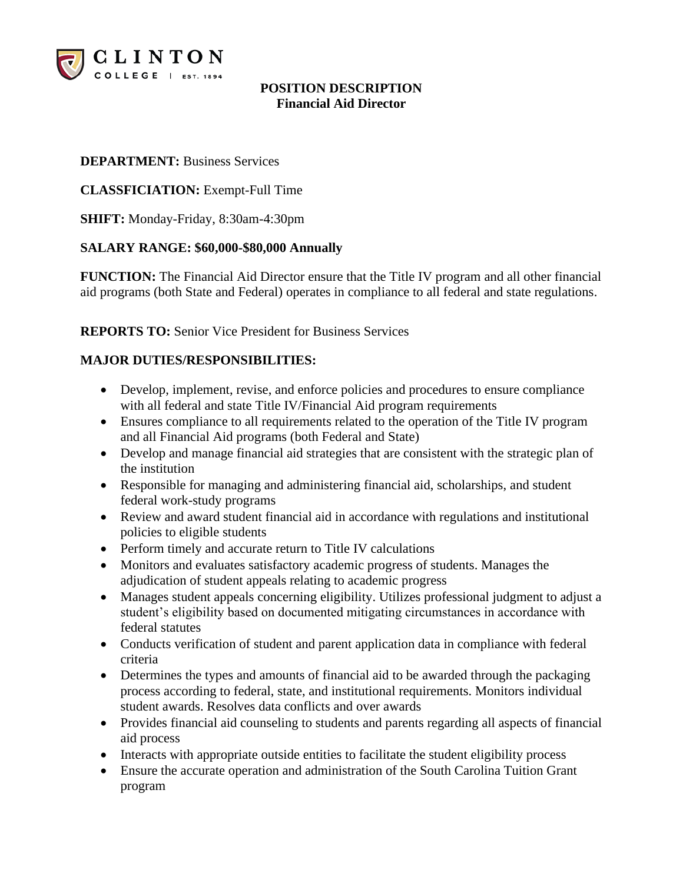

### **POSITION DESCRIPTION Financial Aid Director**

#### **DEPARTMENT:** Business Services

**CLASSFICIATION:** Exempt-Full Time

**SHIFT:** Monday-Friday, 8:30am-4:30pm

### **SALARY RANGE: \$60,000-\$80,000 Annually**

**FUNCTION:** The Financial Aid Director ensure that the Title IV program and all other financial aid programs (both State and Federal) operates in compliance to all federal and state regulations.

**REPORTS TO:** Senior Vice President for Business Services

### **MAJOR DUTIES/RESPONSIBILITIES:**

- Develop, implement, revise, and enforce policies and procedures to ensure compliance with all federal and state Title IV/Financial Aid program requirements
- Ensures compliance to all requirements related to the operation of the Title IV program and all Financial Aid programs (both Federal and State)
- Develop and manage financial aid strategies that are consistent with the strategic plan of the institution
- Responsible for managing and administering financial aid, scholarships, and student federal work-study programs
- Review and award student financial aid in accordance with regulations and institutional policies to eligible students
- Perform timely and accurate return to Title IV calculations
- Monitors and evaluates satisfactory academic progress of students. Manages the adjudication of student appeals relating to academic progress
- Manages student appeals concerning eligibility. Utilizes professional judgment to adjust a student's eligibility based on documented mitigating circumstances in accordance with federal statutes
- Conducts verification of student and parent application data in compliance with federal criteria
- Determines the types and amounts of financial aid to be awarded through the packaging process according to federal, state, and institutional requirements. Monitors individual student awards. Resolves data conflicts and over awards
- Provides financial aid counseling to students and parents regarding all aspects of financial aid process
- Interacts with appropriate outside entities to facilitate the student eligibility process
- Ensure the accurate operation and administration of the South Carolina Tuition Grant program